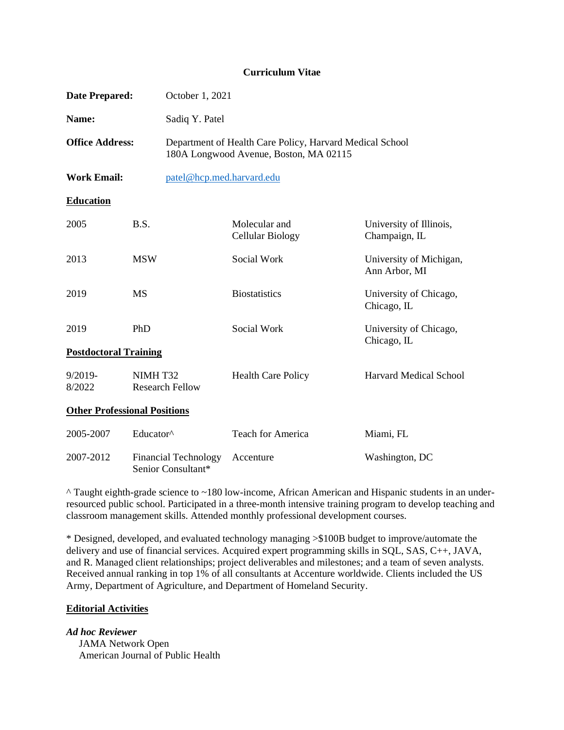#### **Curriculum Vitae**

| <b>Date Prepared:</b>               | October 1, 2021                                   |                                                                                                    |                                          |
|-------------------------------------|---------------------------------------------------|----------------------------------------------------------------------------------------------------|------------------------------------------|
| Name:                               | Sadiq Y. Patel                                    |                                                                                                    |                                          |
| <b>Office Address:</b>              |                                                   | Department of Health Care Policy, Harvard Medical School<br>180A Longwood Avenue, Boston, MA 02115 |                                          |
| <b>Work Email:</b>                  | patel@hcp.med.harvard.edu                         |                                                                                                    |                                          |
| <b>Education</b>                    |                                                   |                                                                                                    |                                          |
| 2005                                | B.S.                                              | Molecular and<br><b>Cellular Biology</b>                                                           | University of Illinois,<br>Champaign, IL |
| 2013                                | <b>MSW</b>                                        | Social Work                                                                                        | University of Michigan,<br>Ann Arbor, MI |
| 2019                                | <b>MS</b>                                         | <b>Biostatistics</b>                                                                               | University of Chicago,<br>Chicago, IL    |
| 2019                                | PhD                                               | Social Work                                                                                        | University of Chicago,<br>Chicago, IL    |
| <b>Postdoctoral Training</b>        |                                                   |                                                                                                    |                                          |
| $9/2019 -$<br>8/2022                | NIMHT32<br><b>Research Fellow</b>                 | <b>Health Care Policy</b>                                                                          | <b>Harvard Medical School</b>            |
| <b>Other Professional Positions</b> |                                                   |                                                                                                    |                                          |
| 2005-2007                           | Educator^                                         | <b>Teach for America</b>                                                                           | Miami, FL                                |
| 2007-2012                           | <b>Financial Technology</b><br>Senior Consultant* | Accenture                                                                                          | Washington, DC                           |

^ Taught eighth-grade science to ~180 low-income, African American and Hispanic students in an underresourced public school. Participated in a three-month intensive training program to develop teaching and classroom management skills. Attended monthly professional development courses.

\* Designed, developed, and evaluated technology managing >\$100B budget to improve/automate the delivery and use of financial services. Acquired expert programming skills in SQL, SAS, C++, JAVA, and R. Managed client relationships; project deliverables and milestones; and a team of seven analysts. Received annual ranking in top 1% of all consultants at Accenture worldwide. Clients included the US Army, Department of Agriculture, and Department of Homeland Security.

## **Editorial Activities**

*Ad hoc Reviewer*

 JAMA Network Open American Journal of Public Health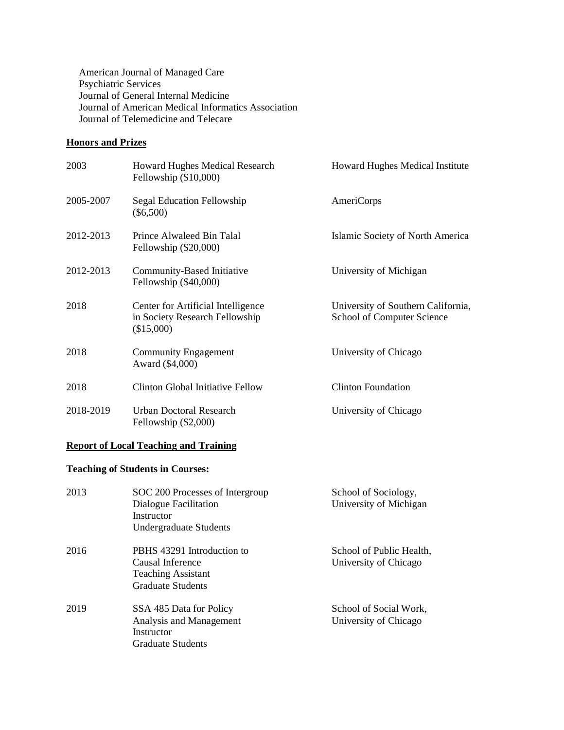American Journal of Managed Care Psychiatric Services Journal of General Internal Medicine Journal of American Medical Informatics Association Journal of Telemedicine and Telecare

## **Honors and Prizes**

| 2003      | <b>Howard Hughes Medical Research</b><br>Fellowship $(\$10,000)$                   | <b>Howard Hughes Medical Institute</b>                           |
|-----------|------------------------------------------------------------------------------------|------------------------------------------------------------------|
| 2005-2007 | Segal Education Fellowship<br>$(\$6,500)$                                          | AmeriCorps                                                       |
| 2012-2013 | Prince Alwaleed Bin Talal<br>Fellowship (\$20,000)                                 | Islamic Society of North America                                 |
| 2012-2013 | Community-Based Initiative<br>Fellowship (\$40,000)                                | University of Michigan                                           |
| 2018      | Center for Artificial Intelligence<br>in Society Research Fellowship<br>(\$15,000) | University of Southern California,<br>School of Computer Science |
| 2018      | <b>Community Engagement</b><br>Award (\$4,000)                                     | University of Chicago                                            |
| 2018      | <b>Clinton Global Initiative Fellow</b>                                            | <b>Clinton Foundation</b>                                        |
| 2018-2019 | <b>Urban Doctoral Research</b><br>Fellowship $(\$2,000)$                           | University of Chicago                                            |

# **Report of Local Teaching and Training**

# **Teaching of Students in Courses:**

| 2013 | SOC 200 Processes of Intergroup<br>Dialogue Facilitation<br>Instructor<br>Undergraduate Students        | School of Sociology,<br>University of Michigan    |
|------|---------------------------------------------------------------------------------------------------------|---------------------------------------------------|
| 2016 | PBHS 43291 Introduction to<br>Causal Inference<br><b>Teaching Assistant</b><br><b>Graduate Students</b> | School of Public Health,<br>University of Chicago |
| 2019 | SSA 485 Data for Policy<br>Analysis and Management<br>Instructor<br><b>Graduate Students</b>            | School of Social Work,<br>University of Chicago   |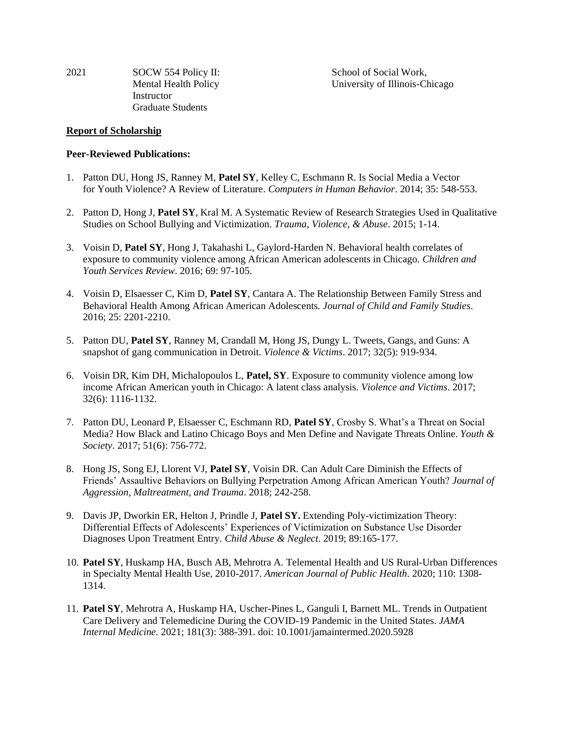2021 SOCW 554 Policy II: School of Social Work, **Instructor** Graduate Students

Mental Health Policy University of Illinois-Chicago

#### **Report of Scholarship**

#### **Peer-Reviewed Publications:**

- 1. Patton DU, Hong JS, Ranney M, **Patel SY**, Kelley C, Eschmann R. Is Social Media a Vector for Youth Violence? A Review of Literature. *Computers in Human Behavior*. 2014; 35: 548-553.
- 2. Patton D, Hong J, **Patel SY**, Kral M. A Systematic Review of Research Strategies Used in Qualitative Studies on School Bullying and Victimization. *Trauma, Violence, & Abuse*. 2015; 1-14.
- 3. Voisin D, **Patel SY**, Hong J, Takahashi L, Gaylord-Harden N. Behavioral health correlates of exposure to community violence among African American adolescents in Chicago. *Children and Youth Services Review*. 2016; 69: 97-105.
- 4. Voisin D, Elsaesser C, Kim D, **Patel SY**, Cantara A. The Relationship Between Family Stress and Behavioral Health Among African American Adolescents. *Journal of Child and Family Studies*. 2016; 25: 2201-2210.
- 5. Patton DU, **Patel SY**, Ranney M, Crandall M, Hong JS, Dungy L. Tweets, Gangs, and Guns: A snapshot of gang communication in Detroit. *Violence & Victims*. 2017; 32(5): 919-934.
- 6. Voisin DR, Kim DH, Michalopoulos L, **Patel, SY**. Exposure to community violence among low income African American youth in Chicago: A latent class analysis. *Violence and Victims*. 2017; 32(6): 1116-1132.
- 7. Patton DU, Leonard P, Elsaesser C, Eschmann RD, **Patel SY**, Crosby S. What's a Threat on Social Media? How Black and Latino Chicago Boys and Men Define and Navigate Threats Online. *Youth & Society*. 2017; 51(6): 756-772.
- 8. Hong JS, Song EJ, Llorent VJ, **Patel SY**, Voisin DR. Can Adult Care Diminish the Effects of Friends' Assaultive Behaviors on Bullying Perpetration Among African American Youth? *Journal of Aggression, Maltreatment, and Trauma*. 2018; 242-258.
- 9. Davis JP, Dworkin ER, Helton J, Prindle J, **Patel SY.** Extending Poly-victimization Theory: Differential Effects of Adolescents' Experiences of Victimization on Substance Use Disorder Diagnoses Upon Treatment Entry. *Child Abuse & Neglect*. 2019; 89:165-177.
- 10. **Patel SY**, Huskamp HA, Busch AB, Mehrotra A. Telemental Health and US Rural-Urban Differences in Specialty Mental Health Use, 2010-2017. *American Journal of Public Health*. 2020; 110: 1308- 1314.
- 11. **Patel SY**, Mehrotra A, Huskamp HA, Uscher-Pines L, Ganguli I, Barnett ML. Trends in Outpatient Care Delivery and Telemedicine During the COVID-19 Pandemic in the United States. *JAMA Internal Medicine.* 2021; 181(3): 388-391. doi: 10.1001/jamaintermed.2020.5928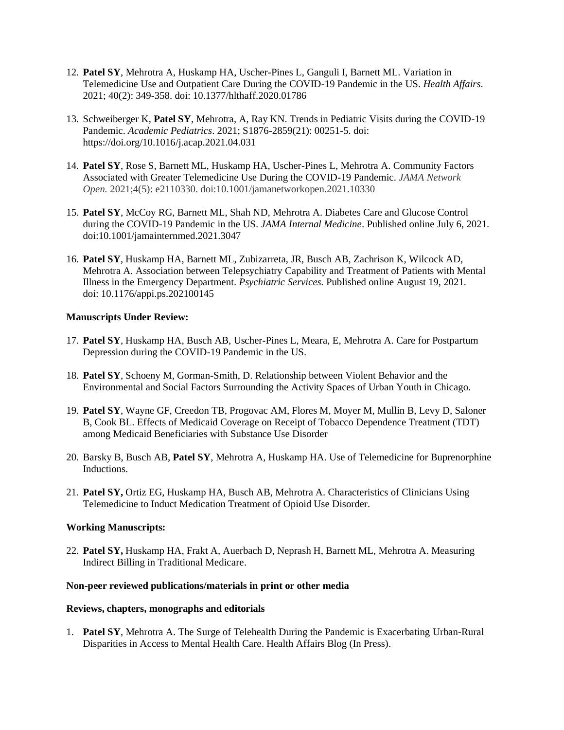- 12. **Patel SY**, Mehrotra A, Huskamp HA, Uscher-Pines L, Ganguli I, Barnett ML. Variation in Telemedicine Use and Outpatient Care During the COVID-19 Pandemic in the US. *Health Affairs*. 2021; 40(2): 349-358. doi: 10.1377/hlthaff.2020.01786
- 13. Schweiberger K, **Patel SY**, Mehrotra, A, Ray KN. Trends in Pediatric Visits during the COVID-19 Pandemic. *Academic Pediatrics*. 2021; S1876-2859(21): 00251-5. doi: https://doi.org/10.1016/j.acap.2021.04.031
- 14. **Patel SY**, Rose S, Barnett ML, Huskamp HA, Uscher-Pines L, Mehrotra A. Community Factors Associated with Greater Telemedicine Use During the COVID-19 Pandemic. *JAMA Network Open.* 2021;4(5): e2110330. doi:10.1001/jamanetworkopen.2021.10330
- 15. **Patel SY**, McCoy RG, Barnett ML, Shah ND, Mehrotra A. Diabetes Care and Glucose Control during the COVID-19 Pandemic in the US. *JAMA Internal Medicine*. Published online July 6, 2021. doi:10.1001/jamainternmed.2021.3047
- 16. **Patel SY**, Huskamp HA, Barnett ML, Zubizarreta, JR, Busch AB, Zachrison K, Wilcock AD, Mehrotra A. Association between Telepsychiatry Capability and Treatment of Patients with Mental Illness in the Emergency Department. *Psychiatric Services.* Published online August 19, 2021. doi: 10.1176/appi.ps.202100145

## **Manuscripts Under Review:**

- 17. **Patel SY**, Huskamp HA, Busch AB, Uscher-Pines L, Meara, E, Mehrotra A. Care for Postpartum Depression during the COVID-19 Pandemic in the US.
- 18. **Patel SY**, Schoeny M, Gorman-Smith, D. Relationship between Violent Behavior and the Environmental and Social Factors Surrounding the Activity Spaces of Urban Youth in Chicago.
- 19. **Patel SY**, Wayne GF, Creedon TB, Progovac AM, Flores M, Moyer M, Mullin B, Levy D, Saloner B, Cook BL. Effects of Medicaid Coverage on Receipt of Tobacco Dependence Treatment (TDT) among Medicaid Beneficiaries with Substance Use Disorder
- 20. Barsky B, Busch AB, **Patel SY**, Mehrotra A, Huskamp HA. Use of Telemedicine for Buprenorphine Inductions.
- 21. **Patel SY,** Ortiz EG, Huskamp HA, Busch AB, Mehrotra A. Characteristics of Clinicians Using Telemedicine to Induct Medication Treatment of Opioid Use Disorder.

## **Working Manuscripts:**

22. **Patel SY,** Huskamp HA, Frakt A, Auerbach D, Neprash H, Barnett ML, Mehrotra A. Measuring Indirect Billing in Traditional Medicare.

## **Non-peer reviewed publications/materials in print or other media**

## **Reviews, chapters, monographs and editorials**

1. **Patel SY**, Mehrotra A. The Surge of Telehealth During the Pandemic is Exacerbating Urban-Rural Disparities in Access to Mental Health Care. Health Affairs Blog (In Press).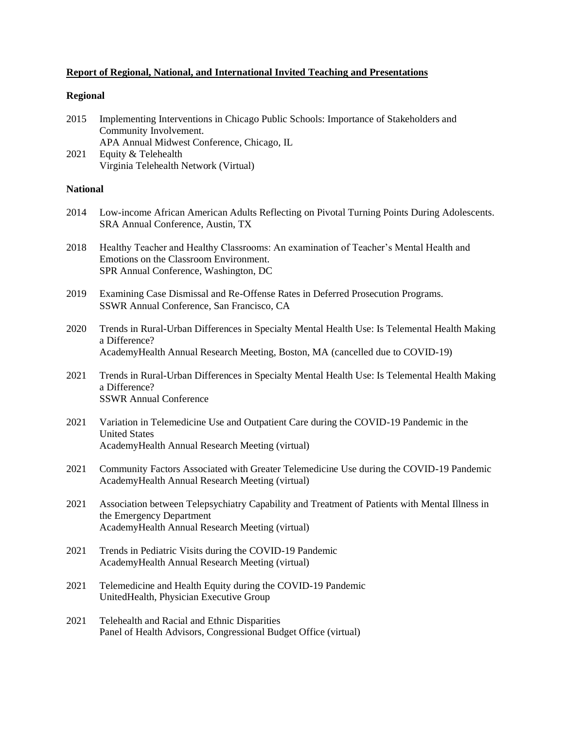## **Report of Regional, National, and International Invited Teaching and Presentations**

#### **Regional**

| 2015 | Implementing Interventions in Chicago Public Schools: Importance of Stakeholders and |
|------|--------------------------------------------------------------------------------------|
|      | Community Involvement.                                                               |
|      | APA Annual Midwest Conference, Chicago, IL                                           |

2021 Equity & Telehealth Virginia Telehealth Network (Virtual)

## **National**

- 2014 Low-income African American Adults Reflecting on Pivotal Turning Points During Adolescents. SRA Annual Conference, Austin, TX
- 2018 Healthy Teacher and Healthy Classrooms: An examination of Teacher's Mental Health and Emotions on the Classroom Environment. SPR Annual Conference, Washington, DC
- 2019 Examining Case Dismissal and Re-Offense Rates in Deferred Prosecution Programs. SSWR Annual Conference, San Francisco, CA
- 2020 Trends in Rural-Urban Differences in Specialty Mental Health Use: Is Telemental Health Making a Difference? AcademyHealth Annual Research Meeting, Boston, MA (cancelled due to COVID-19)
- 2021 Trends in Rural-Urban Differences in Specialty Mental Health Use: Is Telemental Health Making a Difference? SSWR Annual Conference
- 2021 Variation in Telemedicine Use and Outpatient Care during the COVID-19 Pandemic in the United States AcademyHealth Annual Research Meeting (virtual)
- 2021 Community Factors Associated with Greater Telemedicine Use during the COVID-19 Pandemic AcademyHealth Annual Research Meeting (virtual)
- 2021 Association between Telepsychiatry Capability and Treatment of Patients with Mental Illness in the Emergency Department AcademyHealth Annual Research Meeting (virtual)
- 2021 Trends in Pediatric Visits during the COVID-19 Pandemic AcademyHealth Annual Research Meeting (virtual)
- 2021 Telemedicine and Health Equity during the COVID-19 Pandemic UnitedHealth, Physician Executive Group
- 2021 Telehealth and Racial and Ethnic Disparities Panel of Health Advisors, Congressional Budget Office (virtual)